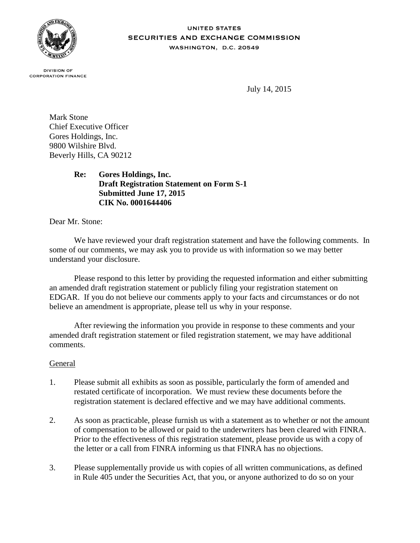

#### **UNITED STATES** SECURITIES AND EXCHANGE COMMISSION WASHINGTON, D.C. 20549

**DIVISION OF CORPORATION FINANCE** 

July 14, 2015

Mark Stone Chief Executive Officer Gores Holdings, Inc. 9800 Wilshire Blvd. Beverly Hills, CA 90212

> **Re: Gores Holdings, Inc. Draft Registration Statement on Form S-1 Submitted June 17, 2015 CIK No. 0001644406**

Dear Mr. Stone:

We have reviewed your draft registration statement and have the following comments. In some of our comments, we may ask you to provide us with information so we may better understand your disclosure.

Please respond to this letter by providing the requested information and either submitting an amended draft registration statement or publicly filing your registration statement on EDGAR. If you do not believe our comments apply to your facts and circumstances or do not believe an amendment is appropriate, please tell us why in your response.

After reviewing the information you provide in response to these comments and your amended draft registration statement or filed registration statement, we may have additional comments.

## General

- 1. Please submit all exhibits as soon as possible, particularly the form of amended and restated certificate of incorporation. We must review these documents before the registration statement is declared effective and we may have additional comments.
- 2. As soon as practicable, please furnish us with a statement as to whether or not the amount of compensation to be allowed or paid to the underwriters has been cleared with FINRA. Prior to the effectiveness of this registration statement, please provide us with a copy of the letter or a call from FINRA informing us that FINRA has no objections.
- 3. Please supplementally provide us with copies of all written communications, as defined in Rule 405 under the Securities Act, that you, or anyone authorized to do so on your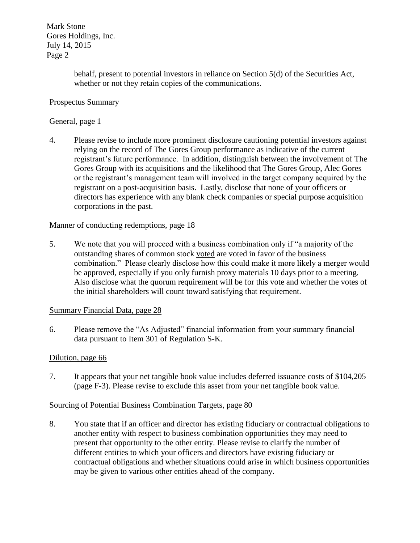Mark Stone Gores Holdings, Inc. July 14, 2015 Page 2

> behalf, present to potential investors in reliance on Section 5(d) of the Securities Act, whether or not they retain copies of the communications.

# Prospectus Summary

# General, page 1

4. Please revise to include more prominent disclosure cautioning potential investors against relying on the record of The Gores Group performance as indicative of the current registrant's future performance. In addition, distinguish between the involvement of The Gores Group with its acquisitions and the likelihood that The Gores Group, Alec Gores or the registrant's management team will involved in the target company acquired by the registrant on a post-acquisition basis. Lastly, disclose that none of your officers or directors has experience with any blank check companies or special purpose acquisition corporations in the past.

# Manner of conducting redemptions, page 18

5. We note that you will proceed with a business combination only if "a majority of the outstanding shares of common stock voted are voted in favor of the business combination." Please clearly disclose how this could make it more likely a merger would be approved, especially if you only furnish proxy materials 10 days prior to a meeting. Also disclose what the quorum requirement will be for this vote and whether the votes of the initial shareholders will count toward satisfying that requirement.

## Summary Financial Data, page 28

6. Please remove the "As Adjusted" financial information from your summary financial data pursuant to Item 301 of Regulation S-K.

## Dilution, page 66

7. It appears that your net tangible book value includes deferred issuance costs of \$104,205 (page F-3). Please revise to exclude this asset from your net tangible book value.

## Sourcing of Potential Business Combination Targets, page 80

8. You state that if an officer and director has existing fiduciary or contractual obligations to another entity with respect to business combination opportunities they may need to present that opportunity to the other entity. Please revise to clarify the number of different entities to which your officers and directors have existing fiduciary or contractual obligations and whether situations could arise in which business opportunities may be given to various other entities ahead of the company.